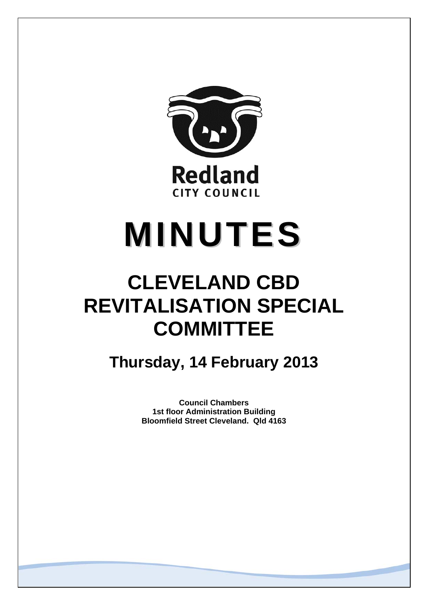

# **MINUTES**

## **CLEVELAND CBD REVITALISATION SPECIAL COMMITTEE**

**Thursday, 14 February 2013** 

**Council Chambers 1st floor Administration Building Bloomfield Street Cleveland. Qld 4163**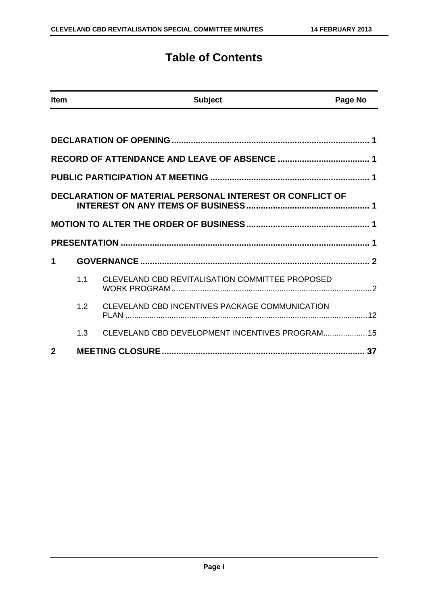### **Table of Contents**

| <b>Item</b>  |     | <b>Subject</b>                                           | Page No |
|--------------|-----|----------------------------------------------------------|---------|
|              |     |                                                          |         |
|              |     |                                                          |         |
|              |     |                                                          |         |
|              |     |                                                          |         |
|              |     | DECLARATION OF MATERIAL PERSONAL INTEREST OR CONFLICT OF |         |
|              |     |                                                          |         |
|              |     |                                                          |         |
| 1            |     |                                                          |         |
|              | 1.1 | CLEVELAND CBD REVITALISATION COMMITTEE PROPOSED          |         |
|              | 1.2 | CLEVELAND CBD INCENTIVES PACKAGE COMMUNICATION           |         |
|              | 1.3 | CLEVELAND CBD DEVELOPMENT INCENTIVES PROGRAM 15          |         |
| $\mathbf{2}$ |     |                                                          |         |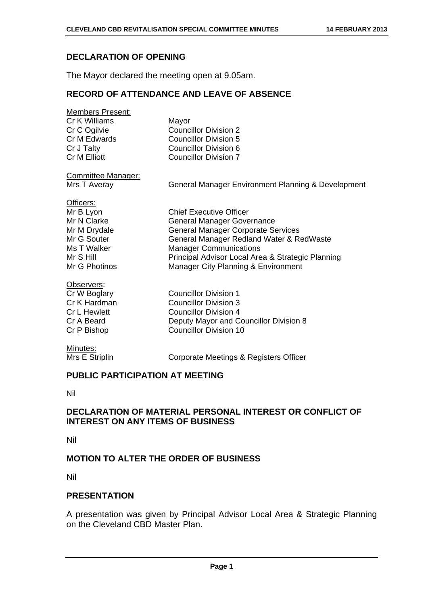#### **DECLARATION OF OPENING**

The Mayor declared the meeting open at 9.05am.

#### **RECORD OF ATTENDANCE AND LEAVE OF ABSENCE**

| <b>Members Present:</b> |                              |
|-------------------------|------------------------------|
| Cr K Williams           | Mayor                        |
| Cr C Ogilvie            | <b>Councillor Division 2</b> |
| Cr M Edwards            | <b>Councillor Division 5</b> |
| Cr J Talty              | <b>Councillor Division 6</b> |
| Cr M Elliott            | <b>Councillor Division 7</b> |
|                         |                              |

Committee Manager:

Mrs T Averay General Manager Environment Planning & Development

#### Officers:

| <b>Chief Executive Officer</b>                    |
|---------------------------------------------------|
| <b>General Manager Governance</b>                 |
| <b>General Manager Corporate Services</b>         |
| General Manager Redland Water & RedWaste          |
| <b>Manager Communications</b>                     |
| Principal Advisor Local Area & Strategic Planning |
| Manager City Planning & Environment               |
|                                                   |

#### Observers:

| Cr W Boglary | Councillor Division 1                  |
|--------------|----------------------------------------|
| Cr K Hardman | Councillor Division 3                  |
| Cr L Hewlett | Councillor Division 4                  |
| Cr A Beard   | Deputy Mayor and Councillor Division 8 |
| Cr P Bishop  | <b>Councillor Division 10</b>          |
|              |                                        |

#### Minutes:

Mrs E Striplin Corporate Meetings & Registers Officer

#### **PUBLIC PARTICIPATION AT MEETING**

Nil

#### **DECLARATION OF MATERIAL PERSONAL INTEREST OR CONFLICT OF INTEREST ON ANY ITEMS OF BUSINESS**

Nil

#### **MOTION TO ALTER THE ORDER OF BUSINESS**

Nil

#### **PRESENTATION**

A presentation was given by Principal Advisor Local Area & Strategic Planning on the Cleveland CBD Master Plan.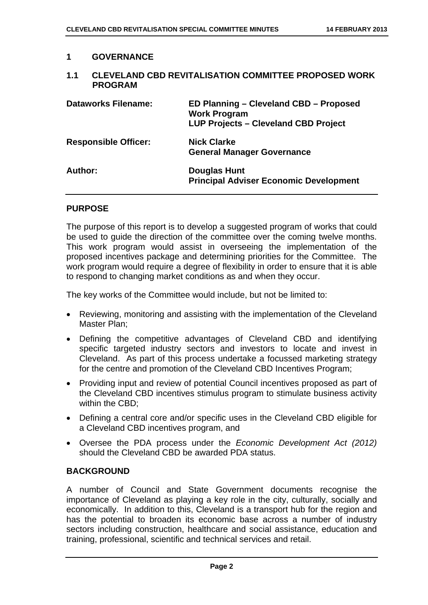#### **1 GOVERNANCE**

#### **1.1 CLEVELAND CBD REVITALISATION COMMITTEE PROPOSED WORK PROGRAM**

| <b>Dataworks Filename:</b>  | ED Planning - Cleveland CBD - Proposed<br><b>Work Program</b><br><b>LUP Projects - Cleveland CBD Project</b> |
|-----------------------------|--------------------------------------------------------------------------------------------------------------|
| <b>Responsible Officer:</b> | <b>Nick Clarke</b><br><b>General Manager Governance</b>                                                      |
| Author:                     | <b>Douglas Hunt</b><br><b>Principal Adviser Economic Development</b>                                         |

#### **PURPOSE**

The purpose of this report is to develop a suggested program of works that could be used to guide the direction of the committee over the coming twelve months. This work program would assist in overseeing the implementation of the proposed incentives package and determining priorities for the Committee. The work program would require a degree of flexibility in order to ensure that it is able to respond to changing market conditions as and when they occur.

The key works of the Committee would include, but not be limited to:

- Reviewing, monitoring and assisting with the implementation of the Cleveland Master Plan;
- Defining the competitive advantages of Cleveland CBD and identifying specific targeted industry sectors and investors to locate and invest in Cleveland. As part of this process undertake a focussed marketing strategy for the centre and promotion of the Cleveland CBD Incentives Program;
- Providing input and review of potential Council incentives proposed as part of the Cleveland CBD incentives stimulus program to stimulate business activity within the CBD;
- Defining a central core and/or specific uses in the Cleveland CBD eligible for a Cleveland CBD incentives program, and
- Oversee the PDA process under the *Economic Development Act (2012)* should the Cleveland CBD be awarded PDA status.

#### **BACKGROUND**

A number of Council and State Government documents recognise the importance of Cleveland as playing a key role in the city, culturally, socially and economically. In addition to this, Cleveland is a transport hub for the region and has the potential to broaden its economic base across a number of industry sectors including construction, healthcare and social assistance, education and training, professional, scientific and technical services and retail.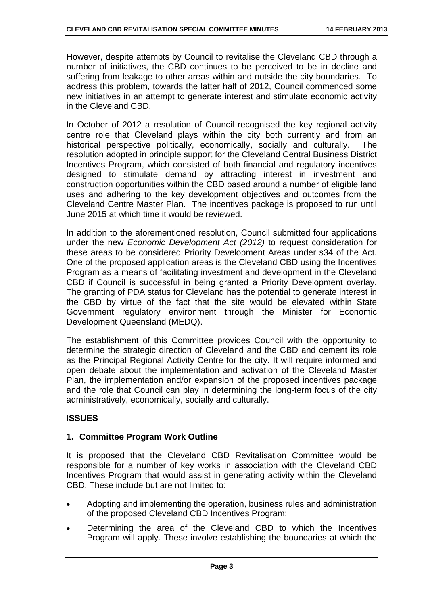However, despite attempts by Council to revitalise the Cleveland CBD through a number of initiatives, the CBD continues to be perceived to be in decline and suffering from leakage to other areas within and outside the city boundaries. To address this problem, towards the latter half of 2012, Council commenced some new initiatives in an attempt to generate interest and stimulate economic activity in the Cleveland CBD.

In October of 2012 a resolution of Council recognised the key regional activity centre role that Cleveland plays within the city both currently and from an historical perspective politically, economically, socially and culturally. The resolution adopted in principle support for the Cleveland Central Business District Incentives Program, which consisted of both financial and regulatory incentives designed to stimulate demand by attracting interest in investment and construction opportunities within the CBD based around a number of eligible land uses and adhering to the key development objectives and outcomes from the Cleveland Centre Master Plan. The incentives package is proposed to run until June 2015 at which time it would be reviewed.

In addition to the aforementioned resolution, Council submitted four applications under the new *Economic Development Act (2012)* to request consideration for these areas to be considered Priority Development Areas under s34 of the Act. One of the proposed application areas is the Cleveland CBD using the Incentives Program as a means of facilitating investment and development in the Cleveland CBD if Council is successful in being granted a Priority Development overlay. The granting of PDA status for Cleveland has the potential to generate interest in the CBD by virtue of the fact that the site would be elevated within State Government regulatory environment through the Minister for Economic Development Queensland (MEDQ).

The establishment of this Committee provides Council with the opportunity to determine the strategic direction of Cleveland and the CBD and cement its role as the Principal Regional Activity Centre for the city. It will require informed and open debate about the implementation and activation of the Cleveland Master Plan, the implementation and/or expansion of the proposed incentives package and the role that Council can play in determining the long-term focus of the city administratively, economically, socially and culturally.

#### **ISSUES**

#### **1. Committee Program Work Outline**

It is proposed that the Cleveland CBD Revitalisation Committee would be responsible for a number of key works in association with the Cleveland CBD Incentives Program that would assist in generating activity within the Cleveland CBD. These include but are not limited to:

- Adopting and implementing the operation, business rules and administration of the proposed Cleveland CBD Incentives Program;
- Determining the area of the Cleveland CBD to which the Incentives Program will apply. These involve establishing the boundaries at which the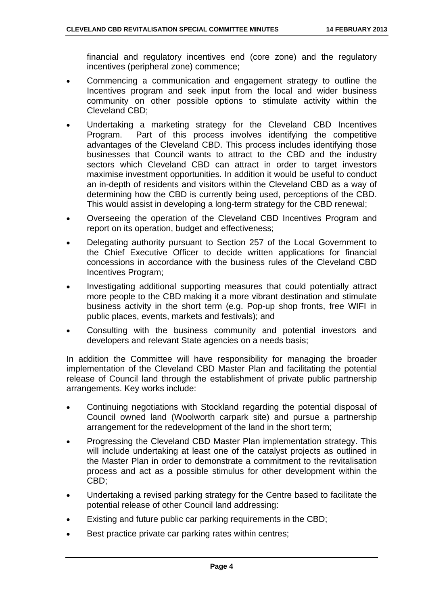financial and regulatory incentives end (core zone) and the regulatory incentives (peripheral zone) commence;

- Commencing a communication and engagement strategy to outline the Incentives program and seek input from the local and wider business community on other possible options to stimulate activity within the Cleveland CBD;
- Undertaking a marketing strategy for the Cleveland CBD Incentives Program. Part of this process involves identifying the competitive advantages of the Cleveland CBD. This process includes identifying those businesses that Council wants to attract to the CBD and the industry sectors which Cleveland CBD can attract in order to target investors maximise investment opportunities. In addition it would be useful to conduct an in-depth of residents and visitors within the Cleveland CBD as a way of determining how the CBD is currently being used, perceptions of the CBD. This would assist in developing a long-term strategy for the CBD renewal;
- Overseeing the operation of the Cleveland CBD Incentives Program and report on its operation, budget and effectiveness;
- Delegating authority pursuant to Section 257 of the Local Government to the Chief Executive Officer to decide written applications for financial concessions in accordance with the business rules of the Cleveland CBD Incentives Program;
- Investigating additional supporting measures that could potentially attract more people to the CBD making it a more vibrant destination and stimulate business activity in the short term (e.g. Pop-up shop fronts, free WIFI in public places, events, markets and festivals); and
- Consulting with the business community and potential investors and developers and relevant State agencies on a needs basis;

In addition the Committee will have responsibility for managing the broader implementation of the Cleveland CBD Master Plan and facilitating the potential release of Council land through the establishment of private public partnership arrangements. Key works include:

- Continuing negotiations with Stockland regarding the potential disposal of Council owned land (Woolworth carpark site) and pursue a partnership arrangement for the redevelopment of the land in the short term;
- Progressing the Cleveland CBD Master Plan implementation strategy. This will include undertaking at least one of the catalyst projects as outlined in the Master Plan in order to demonstrate a commitment to the revitalisation process and act as a possible stimulus for other development within the CBD;
- Undertaking a revised parking strategy for the Centre based to facilitate the potential release of other Council land addressing:
- Existing and future public car parking requirements in the CBD;
- Best practice private car parking rates within centres;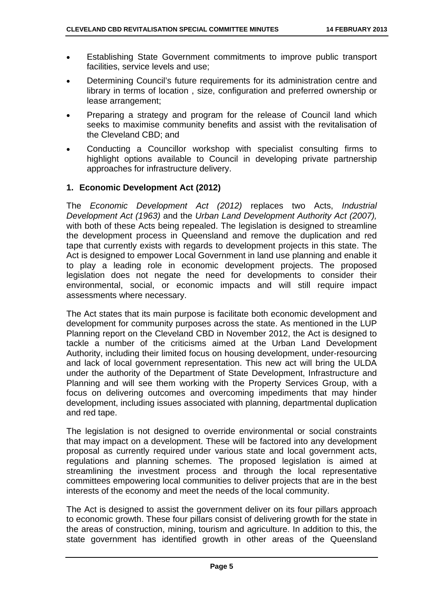- Establishing State Government commitments to improve public transport facilities, service levels and use;
- Determining Council's future requirements for its administration centre and library in terms of location , size, configuration and preferred ownership or lease arrangement;
- Preparing a strategy and program for the release of Council land which seeks to maximise community benefits and assist with the revitalisation of the Cleveland CBD; and
- Conducting a Councillor workshop with specialist consulting firms to highlight options available to Council in developing private partnership approaches for infrastructure delivery.

#### **1. Economic Development Act (2012)**

The *Economic Development Act (2012)* replaces two Acts, *Industrial Development Act (1963)* and the *Urban Land Development Authority Act (2007),*  with both of these Acts being repealed. The legislation is designed to streamline the development process in Queensland and remove the duplication and red tape that currently exists with regards to development projects in this state. The Act is designed to empower Local Government in land use planning and enable it to play a leading role in economic development projects. The proposed legislation does not negate the need for developments to consider their environmental, social, or economic impacts and will still require impact assessments where necessary.

The Act states that its main purpose is facilitate both economic development and development for community purposes across the state. As mentioned in the LUP Planning report on the Cleveland CBD in November 2012, the Act is designed to tackle a number of the criticisms aimed at the Urban Land Development Authority, including their limited focus on housing development, under-resourcing and lack of local government representation. This new act will bring the ULDA under the authority of the Department of State Development, Infrastructure and Planning and will see them working with the Property Services Group, with a focus on delivering outcomes and overcoming impediments that may hinder development, including issues associated with planning, departmental duplication and red tape.

The legislation is not designed to override environmental or social constraints that may impact on a development. These will be factored into any development proposal as currently required under various state and local government acts, regulations and planning schemes. The proposed legislation is aimed at streamlining the investment process and through the local representative committees empowering local communities to deliver projects that are in the best interests of the economy and meet the needs of the local community.

The Act is designed to assist the government deliver on its four pillars approach to economic growth. These four pillars consist of delivering growth for the state in the areas of construction, mining, tourism and agriculture. In addition to this, the state government has identified growth in other areas of the Queensland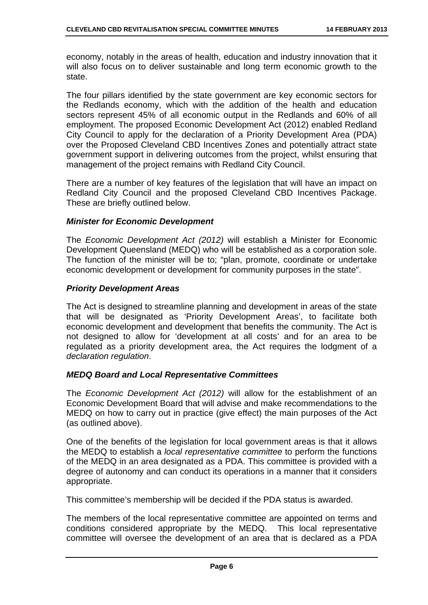economy, notably in the areas of health, education and industry innovation that it will also focus on to deliver sustainable and long term economic growth to the state.

The four pillars identified by the state government are key economic sectors for the Redlands economy, which with the addition of the health and education sectors represent 45% of all economic output in the Redlands and 60% of all employment. The proposed Economic Development Act (2012) enabled Redland City Council to apply for the declaration of a Priority Development Area (PDA) over the Proposed Cleveland CBD Incentives Zones and potentially attract state government support in delivering outcomes from the project, whilst ensuring that management of the project remains with Redland City Council.

There are a number of key features of the legislation that will have an impact on Redland City Council and the proposed Cleveland CBD Incentives Package. These are briefly outlined below.

#### *Minister for Economic Development*

The *Economic Development Act (2012)* will establish a Minister for Economic Development Queensland (MEDQ) who will be established as a corporation sole. The function of the minister will be to; "plan, promote, coordinate or undertake economic development or development for community purposes in the state".

#### *Priority Development Areas*

The Act is designed to streamline planning and development in areas of the state that will be designated as 'Priority Development Areas', to facilitate both economic development and development that benefits the community. The Act is not designed to allow for 'development at all costs' and for an area to be regulated as a priority development area, the Act requires the lodgment of a *declaration regulation*.

#### *MEDQ Board and Local Representative Committees*

The *Economic Development Act (2012)* will allow for the establishment of an Economic Development Board that will advise and make recommendations to the MEDQ on how to carry out in practice (give effect) the main purposes of the Act (as outlined above).

One of the benefits of the legislation for local government areas is that it allows the MEDQ to establish a *local representative committee* to perform the functions of the MEDQ in an area designated as a PDA. This committee is provided with a degree of autonomy and can conduct its operations in a manner that it considers appropriate.

This committee's membership will be decided if the PDA status is awarded.

The members of the local representative committee are appointed on terms and conditions considered appropriate by the MEDQ. This local representative committee will oversee the development of an area that is declared as a PDA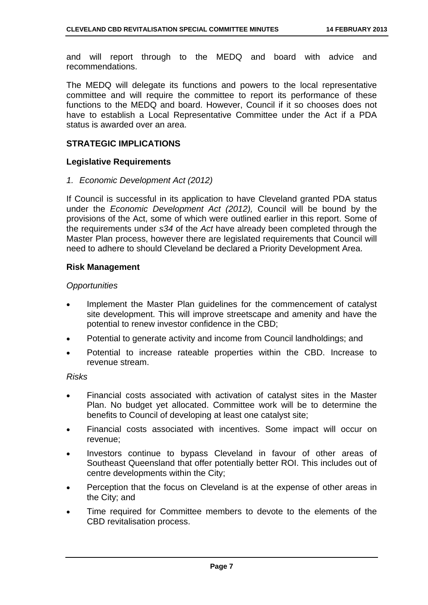and will report through to the MEDQ and board with advice and recommendations.

The MEDQ will delegate its functions and powers to the local representative committee and will require the committee to report its performance of these functions to the MEDQ and board. However, Council if it so chooses does not have to establish a Local Representative Committee under the Act if a PDA status is awarded over an area.

#### **STRATEGIC IMPLICATIONS**

#### **Legislative Requirements**

#### *1. Economic Development Act (2012)*

If Council is successful in its application to have Cleveland granted PDA status under the *Economic Development Act (2012),* Council will be bound by the provisions of the Act, some of which were outlined earlier in this report. Some of the requirements under *s34* of the *Act* have already been completed through the Master Plan process, however there are legislated requirements that Council will need to adhere to should Cleveland be declared a Priority Development Area.

#### **Risk Management**

#### *Opportunities*

- Implement the Master Plan guidelines for the commencement of catalyst site development. This will improve streetscape and amenity and have the potential to renew investor confidence in the CBD;
- Potential to generate activity and income from Council landholdings; and
- Potential to increase rateable properties within the CBD. Increase to revenue stream.

#### *Risks*

- Financial costs associated with activation of catalyst sites in the Master Plan. No budget yet allocated. Committee work will be to determine the benefits to Council of developing at least one catalyst site;
- Financial costs associated with incentives. Some impact will occur on revenue;
- Investors continue to bypass Cleveland in favour of other areas of Southeast Queensland that offer potentially better ROI. This includes out of centre developments within the City;
- Perception that the focus on Cleveland is at the expense of other areas in the City; and
- Time required for Committee members to devote to the elements of the CBD revitalisation process.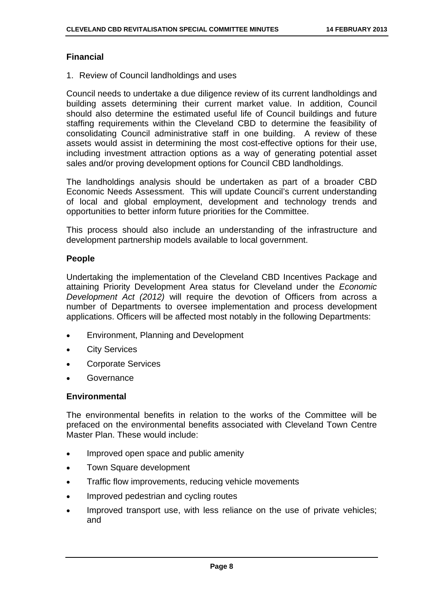#### **Financial**

1. Review of Council landholdings and uses

Council needs to undertake a due diligence review of its current landholdings and building assets determining their current market value. In addition, Council should also determine the estimated useful life of Council buildings and future staffing requirements within the Cleveland CBD to determine the feasibility of consolidating Council administrative staff in one building. A review of these assets would assist in determining the most cost-effective options for their use, including investment attraction options as a way of generating potential asset sales and/or proving development options for Council CBD landholdings.

The landholdings analysis should be undertaken as part of a broader CBD Economic Needs Assessment. This will update Council's current understanding of local and global employment, development and technology trends and opportunities to better inform future priorities for the Committee.

This process should also include an understanding of the infrastructure and development partnership models available to local government.

#### **People**

Undertaking the implementation of the Cleveland CBD Incentives Package and attaining Priority Development Area status for Cleveland under the *Economic Development Act (2012)* will require the devotion of Officers from across a number of Departments to oversee implementation and process development applications. Officers will be affected most notably in the following Departments:

- Environment, Planning and Development
- City Services
- Corporate Services
- **Governance**

#### **Environmental**

The environmental benefits in relation to the works of the Committee will be prefaced on the environmental benefits associated with Cleveland Town Centre Master Plan. These would include:

- Improved open space and public amenity
- Town Square development
- Traffic flow improvements, reducing vehicle movements
- Improved pedestrian and cycling routes
- Improved transport use, with less reliance on the use of private vehicles; and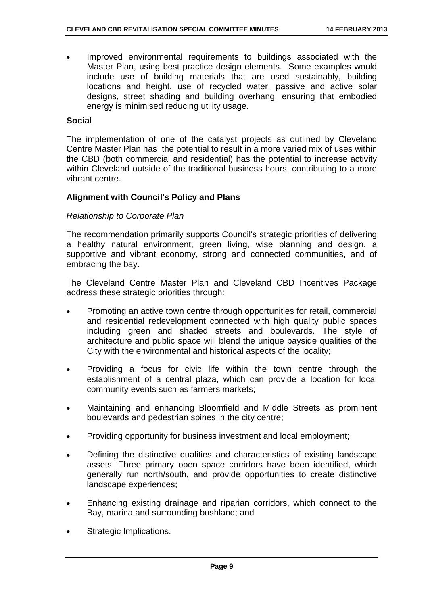Improved environmental requirements to buildings associated with the Master Plan, using best practice design elements. Some examples would include use of building materials that are used sustainably, building locations and height, use of recycled water, passive and active solar designs, street shading and building overhang, ensuring that embodied energy is minimised reducing utility usage.

#### **Social**

The implementation of one of the catalyst projects as outlined by Cleveland Centre Master Plan has the potential to result in a more varied mix of uses within the CBD (both commercial and residential) has the potential to increase activity within Cleveland outside of the traditional business hours, contributing to a more vibrant centre.

#### **Alignment with Council's Policy and Plans**

#### *Relationship to Corporate Plan*

The recommendation primarily supports Council's strategic priorities of delivering a healthy natural environment, green living, wise planning and design, a supportive and vibrant economy, strong and connected communities, and of embracing the bay.

The Cleveland Centre Master Plan and Cleveland CBD Incentives Package address these strategic priorities through:

- Promoting an active town centre through opportunities for retail, commercial and residential redevelopment connected with high quality public spaces including green and shaded streets and boulevards. The style of architecture and public space will blend the unique bayside qualities of the City with the environmental and historical aspects of the locality;
- Providing a focus for civic life within the town centre through the establishment of a central plaza, which can provide a location for local community events such as farmers markets;
- Maintaining and enhancing Bloomfield and Middle Streets as prominent boulevards and pedestrian spines in the city centre;
- Providing opportunity for business investment and local employment;
- Defining the distinctive qualities and characteristics of existing landscape assets. Three primary open space corridors have been identified, which generally run north/south, and provide opportunities to create distinctive landscape experiences;
- Enhancing existing drainage and riparian corridors, which connect to the Bay, marina and surrounding bushland; and
- Strategic Implications.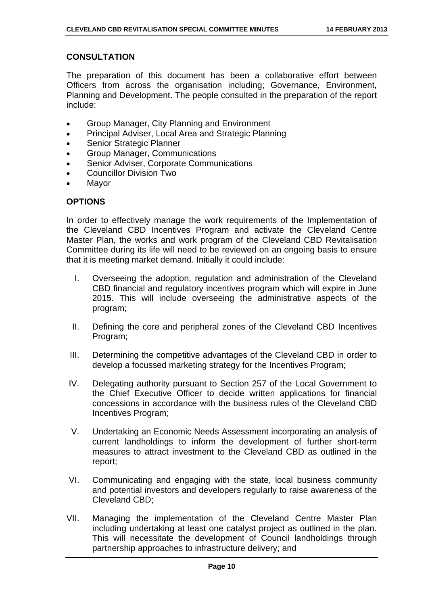#### **CONSULTATION**

The preparation of this document has been a collaborative effort between Officers from across the organisation including; Governance, Environment, Planning and Development. The people consulted in the preparation of the report include:

- Group Manager, City Planning and Environment
- **•** Principal Adviser, Local Area and Strategic Planning
- Senior Strategic Planner
- Group Manager, Communications
- Senior Adviser, Corporate Communications
- Councillor Division Two
- Mayor

#### **OPTIONS**

In order to effectively manage the work requirements of the Implementation of the Cleveland CBD Incentives Program and activate the Cleveland Centre Master Plan, the works and work program of the Cleveland CBD Revitalisation Committee during its life will need to be reviewed on an ongoing basis to ensure that it is meeting market demand. Initially it could include:

- I. Overseeing the adoption, regulation and administration of the Cleveland CBD financial and regulatory incentives program which will expire in June 2015. This will include overseeing the administrative aspects of the program;
- II. Defining the core and peripheral zones of the Cleveland CBD Incentives Program;
- III. Determining the competitive advantages of the Cleveland CBD in order to develop a focussed marketing strategy for the Incentives Program;
- IV. Delegating authority pursuant to Section 257 of the Local Government to the Chief Executive Officer to decide written applications for financial concessions in accordance with the business rules of the Cleveland CBD Incentives Program;
- V. Undertaking an Economic Needs Assessment incorporating an analysis of current landholdings to inform the development of further short-term measures to attract investment to the Cleveland CBD as outlined in the report;
- VI. Communicating and engaging with the state, local business community and potential investors and developers regularly to raise awareness of the Cleveland CBD;
- VII. Managing the implementation of the Cleveland Centre Master Plan including undertaking at least one catalyst project as outlined in the plan. This will necessitate the development of Council landholdings through partnership approaches to infrastructure delivery; and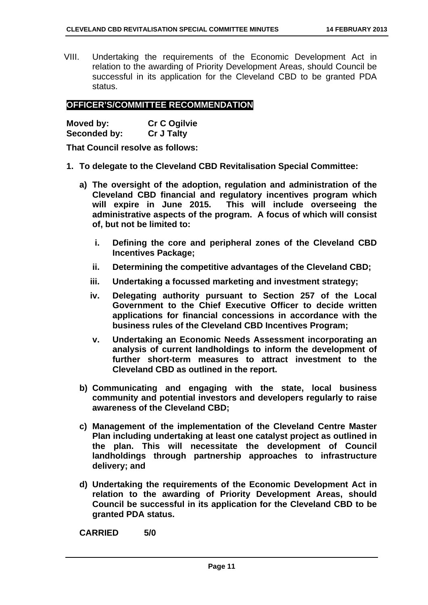VIII. Undertaking the requirements of the Economic Development Act in relation to the awarding of Priority Development Areas, should Council be successful in its application for the Cleveland CBD to be granted PDA status.

#### **OFFICER'S/COMMITTEE RECOMMENDATION**

| Moved by:           | <b>Cr C Ogilvie</b> |
|---------------------|---------------------|
| <b>Seconded by:</b> | <b>Cr J Talty</b>   |

**That Council resolve as follows:** 

- **1. To delegate to the Cleveland CBD Revitalisation Special Committee:** 
	- **a) The oversight of the adoption, regulation and administration of the Cleveland CBD financial and regulatory incentives program which will expire in June 2015. This will include overseeing the administrative aspects of the program. A focus of which will consist of, but not be limited to:** 
		- **i. Defining the core and peripheral zones of the Cleveland CBD Incentives Package;**
		- **ii. Determining the competitive advantages of the Cleveland CBD;**
		- **iii. Undertaking a focussed marketing and investment strategy;**
		- **iv. Delegating authority pursuant to Section 257 of the Local Government to the Chief Executive Officer to decide written applications for financial concessions in accordance with the business rules of the Cleveland CBD Incentives Program;**
		- **v. Undertaking an Economic Needs Assessment incorporating an analysis of current landholdings to inform the development of further short-term measures to attract investment to the Cleveland CBD as outlined in the report.**
	- **b) Communicating and engaging with the state, local business community and potential investors and developers regularly to raise awareness of the Cleveland CBD;**
	- **c) Management of the implementation of the Cleveland Centre Master Plan including undertaking at least one catalyst project as outlined in the plan. This will necessitate the development of Council landholdings through partnership approaches to infrastructure delivery; and**
	- **d) Undertaking the requirements of the Economic Development Act in relation to the awarding of Priority Development Areas, should Council be successful in its application for the Cleveland CBD to be granted PDA status.**

**CARRIED 5/0**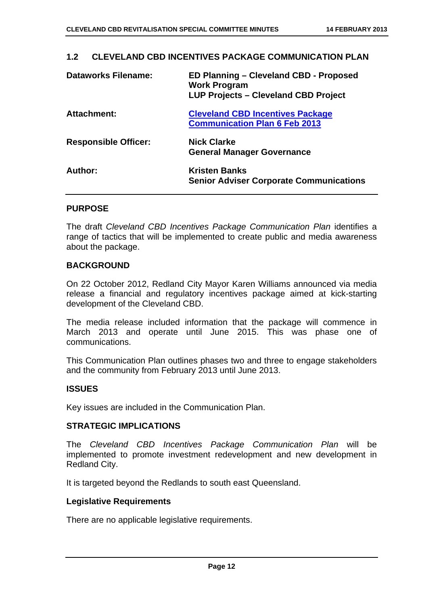#### **1.2 CLEVELAND CBD INCENTIVES PACKAGE COMMUNICATION PLAN**

| <b>Dataworks Filename:</b>  | ED Planning - Cleveland CBD - Proposed<br><b>Work Program</b><br>LUP Projects - Cleveland CBD Project |  |  |  |
|-----------------------------|-------------------------------------------------------------------------------------------------------|--|--|--|
| <b>Attachment:</b>          | <b>Cleveland CBD Incentives Package</b><br><b>Communication Plan 6 Feb 2013</b>                       |  |  |  |
| <b>Responsible Officer:</b> | <b>Nick Clarke</b><br><b>General Manager Governance</b>                                               |  |  |  |
| Author:                     | <b>Kristen Banks</b><br><b>Senior Adviser Corporate Communications</b>                                |  |  |  |

#### **PURPOSE**

The draft *Cleveland CBD Incentives Package Communication Plan* identifies a range of tactics that will be implemented to create public and media awareness about the package.

#### **BACKGROUND**

On 22 October 2012, Redland City Mayor Karen Williams announced via media release a financial and regulatory incentives package aimed at kick-starting development of the Cleveland CBD.

The media release included information that the package will commence in March 2013 and operate until June 2015. This was phase one of communications.

This Communication Plan outlines phases two and three to engage stakeholders and the community from February 2013 until June 2013.

#### **ISSUES**

Key issues are included in the Communication Plan.

#### **STRATEGIC IMPLICATIONS**

The *Cleveland CBD Incentives Package Communication Plan* will be implemented to promote investment redevelopment and new development in Redland City.

It is targeted beyond the Redlands to south east Queensland.

#### **Legislative Requirements**

There are no applicable legislative requirements.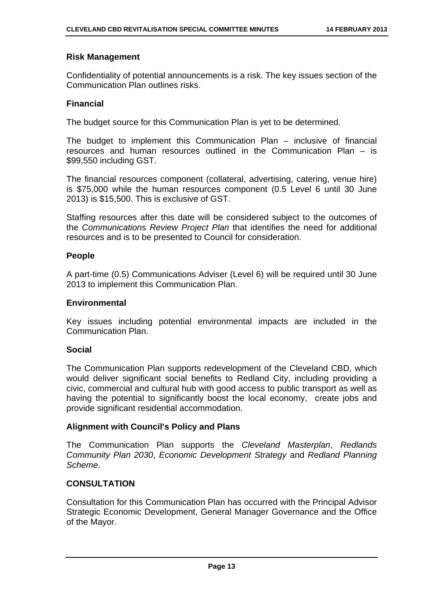#### **Risk Management**

Confidentiality of potential announcements is a risk. The key issues section of the Communication Plan outlines risks.

#### **Financial**

The budget source for this Communication Plan is yet to be determined.

The budget to implement this Communication Plan – inclusive of financial resources and human resources outlined in the Communication Plan – is \$99,550 including GST.

The financial resources component (collateral, advertising, catering, venue hire) is \$75,000 while the human resources component (0.5 Level 6 until 30 June 2013) is \$15,500. This is exclusive of GST.

Staffing resources after this date will be considered subject to the outcomes of the *Communications Review Project Plan* that identifies the need for additional resources and is to be presented to Council for consideration.

#### **People**

A part-time (0.5) Communications Adviser (Level 6) will be required until 30 June 2013 to implement this Communication Plan.

#### **Environmental**

Key issues including potential environmental impacts are included in the Communication Plan.

#### **Social**

The Communication Plan supports redevelopment of the Cleveland CBD, which would deliver significant social benefits to Redland City, including providing a civic, commercial and cultural hub with good access to public transport as well as having the potential to significantly boost the local economy, create jobs and provide significant residential accommodation.

#### **Alignment with Council's Policy and Plans**

The Communication Plan supports the *Cleveland Masterplan*, *Redlands Community Plan 2030*, *Economic Development Strategy* and *Redland Planning Scheme*.

#### **CONSULTATION**

Consultation for this Communication Plan has occurred with the Principal Advisor Strategic Economic Development, General Manager Governance and the Office of the Mayor.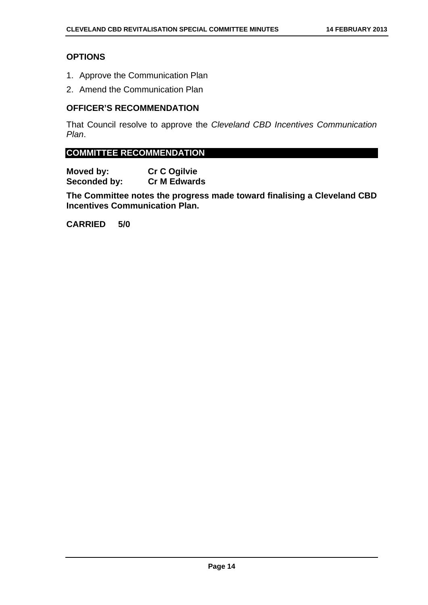#### **OPTIONS**

- 1. Approve the Communication Plan
- 2. Amend the Communication Plan

#### **OFFICER'S RECOMMENDATION**

That Council resolve to approve the *Cleveland CBD Incentives Communication Plan*.

#### **COMMITTEE RECOMMENDATION**

**Moved by:** Cr C Ogilvie<br> **Seconded by:** Cr M Edwards **Seconded by:** 

**The Committee notes the progress made toward finalising a Cleveland CBD Incentives Communication Plan.** 

**CARRIED 5/0**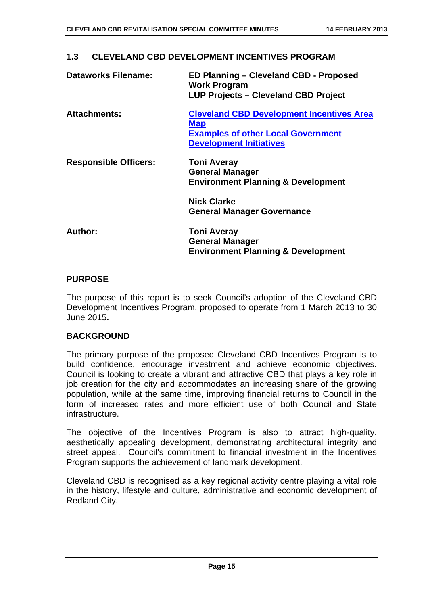| <b>Dataworks Filename:</b>   | ED Planning – Cleveland CBD - Proposed<br><b>Work Program</b><br><b>LUP Projects - Cleveland CBD Project</b>                                  |
|------------------------------|-----------------------------------------------------------------------------------------------------------------------------------------------|
| <b>Attachments:</b>          | <b>Cleveland CBD Development Incentives Area</b><br><b>Map</b><br><b>Examples of other Local Government</b><br><b>Development Initiatives</b> |
| <b>Responsible Officers:</b> | <b>Toni Averay</b><br><b>General Manager</b><br><b>Environment Planning &amp; Development</b>                                                 |
|                              | <b>Nick Clarke</b><br><b>General Manager Governance</b>                                                                                       |
| <b>Author:</b>               | <b>Toni Averay</b><br><b>General Manager</b><br><b>Environment Planning &amp; Development</b>                                                 |

#### **1.3 CLEVELAND CBD DEVELOPMENT INCENTIVES PROGRAM**

#### **PURPOSE**

The purpose of this report is to seek Council's adoption of the Cleveland CBD Development Incentives Program, proposed to operate from 1 March 2013 to 30 June 2015**.** 

#### **BACKGROUND**

The primary purpose of the proposed Cleveland CBD Incentives Program is to build confidence, encourage investment and achieve economic objectives. Council is looking to create a vibrant and attractive CBD that plays a key role in job creation for the city and accommodates an increasing share of the growing population, while at the same time, improving financial returns to Council in the form of increased rates and more efficient use of both Council and State infrastructure.

The objective of the Incentives Program is also to attract high-quality, aesthetically appealing development, demonstrating architectural integrity and street appeal. Council's commitment to financial investment in the Incentives Program supports the achievement of landmark development.

Cleveland CBD is recognised as a key regional activity centre playing a vital role in the history, lifestyle and culture, administrative and economic development of Redland City.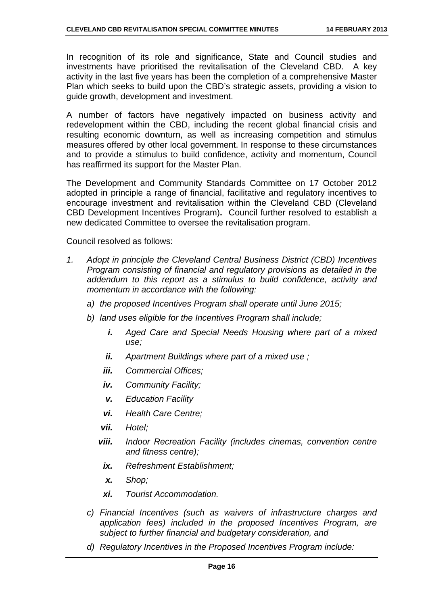In recognition of its role and significance, State and Council studies and investments have prioritised the revitalisation of the Cleveland CBD. A key activity in the last five years has been the completion of a comprehensive Master Plan which seeks to build upon the CBD's strategic assets, providing a vision to guide growth, development and investment.

A number of factors have negatively impacted on business activity and redevelopment within the CBD, including the recent global financial crisis and resulting economic downturn, as well as increasing competition and stimulus measures offered by other local government. In response to these circumstances and to provide a stimulus to build confidence, activity and momentum, Council has reaffirmed its support for the Master Plan.

The Development and Community Standards Committee on 17 October 2012 adopted in principle a range of financial, facilitative and regulatory incentives to encourage investment and revitalisation within the Cleveland CBD (Cleveland CBD Development Incentives Program)**.** Council further resolved to establish a new dedicated Committee to oversee the revitalisation program.

Council resolved as follows:

- *1. Adopt in principle the Cleveland Central Business District (CBD) Incentives Program consisting of financial and regulatory provisions as detailed in the addendum to this report as a stimulus to build confidence, activity and momentum in accordance with the following:* 
	- *a) the proposed Incentives Program shall operate until June 2015;*
	- *b) land uses eligible for the Incentives Program shall include;* 
		- *i. Aged Care and Special Needs Housing where part of a mixed use;*
		- *ii. Apartment Buildings where part of a mixed use ;*
		- *iii. Commercial Offices;*
		- *iv. Community Facility;*
		- *v. Education Facility*
		- *vi. Health Care Centre;*
		- *vii. Hotel;*
		- *viii. Indoor Recreation Facility (includes cinemas, convention centre and fitness centre);* 
			- *ix. Refreshment Establishment;*
			- *x. Shop;*
			- *xi. Tourist Accommodation.*
	- *c) Financial Incentives (such as waivers of infrastructure charges and application fees) included in the proposed Incentives Program, are subject to further financial and budgetary consideration, and*
	- *d) Regulatory Incentives in the Proposed Incentives Program include:*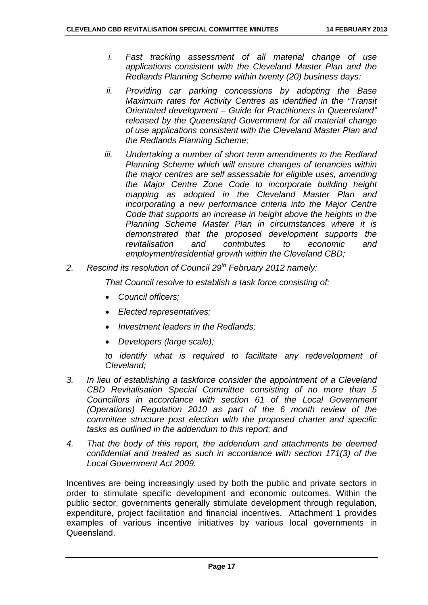- *i. Fast tracking assessment of all material change of use applications consistent with the Cleveland Master Plan and the Redlands Planning Scheme within twenty (20) business days:*
- *ii. Providing car parking concessions by adopting the Base Maximum rates for Activity Centres as identified in the "Transit Orientated development – Guide for Practitioners in Queensland" released by the Queensland Government for all material change of use applications consistent with the Cleveland Master Plan and the Redlands Planning Scheme;*
- *iii. Undertaking a number of short term amendments to the Redland Planning Scheme which will ensure changes of tenancies within the major centres are self assessable for eligible uses, amending the Major Centre Zone Code to incorporate building height mapping as adopted in the Cleveland Master Plan and incorporating a new performance criteria into the Major Centre Code that supports an increase in height above the heights in the Planning Scheme Master Plan in circumstances where it is demonstrated that the proposed development supports the revitalisation and contributes to economic and employment/residential growth within the Cleveland CBD;*
- *2. Rescind its resolution of Council 29th February 2012 namely:*

*That Council resolve to establish a task force consisting of:* 

- *Council officers;*
- *Elected representatives;*
- *Investment leaders in the Redlands;*
- *Developers (large scale);*

*to identify what is required to facilitate any redevelopment of Cleveland;* 

- *3. In lieu of establishing a taskforce consider the appointment of a Cleveland CBD Revitalisation Special Committee consisting of no more than 5 Councillors in accordance with section 61 of the Local Government (Operations) Regulation 2010 as part of the 6 month review of the committee structure post election with the proposed charter and specific tasks as outlined in the addendum to this report; and*
- *4. That the body of this report, the addendum and attachments be deemed confidential and treated as such in accordance with section 171(3) of the Local Government Act 2009.*

Incentives are being increasingly used by both the public and private sectors in order to stimulate specific development and economic outcomes. Within the public sector, governments generally stimulate development through regulation, expenditure, project facilitation and financial incentives. Attachment 1 provides examples of various incentive initiatives by various local governments in Queensland.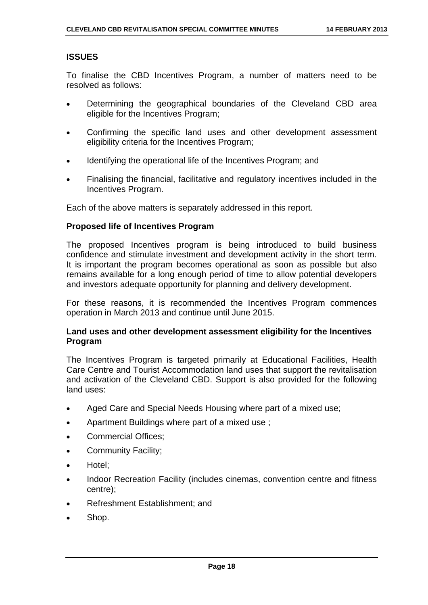#### **ISSUES**

To finalise the CBD Incentives Program, a number of matters need to be resolved as follows:

- Determining the geographical boundaries of the Cleveland CBD area eligible for the Incentives Program;
- Confirming the specific land uses and other development assessment eligibility criteria for the Incentives Program;
- Identifying the operational life of the Incentives Program; and
- Finalising the financial, facilitative and regulatory incentives included in the Incentives Program.

Each of the above matters is separately addressed in this report.

#### **Proposed life of Incentives Program**

The proposed Incentives program is being introduced to build business confidence and stimulate investment and development activity in the short term. It is important the program becomes operational as soon as possible but also remains available for a long enough period of time to allow potential developers and investors adequate opportunity for planning and delivery development.

For these reasons, it is recommended the Incentives Program commences operation in March 2013 and continue until June 2015.

#### **Land uses and other development assessment eligibility for the Incentives Program**

The Incentives Program is targeted primarily at Educational Facilities, Health Care Centre and Tourist Accommodation land uses that support the revitalisation and activation of the Cleveland CBD. Support is also provided for the following land uses:

- Aged Care and Special Needs Housing where part of a mixed use;
- Apartment Buildings where part of a mixed use ;
- Commercial Offices;
- Community Facility;
- Hotel;
- Indoor Recreation Facility (includes cinemas, convention centre and fitness centre);
- Refreshment Establishment; and
- Shop.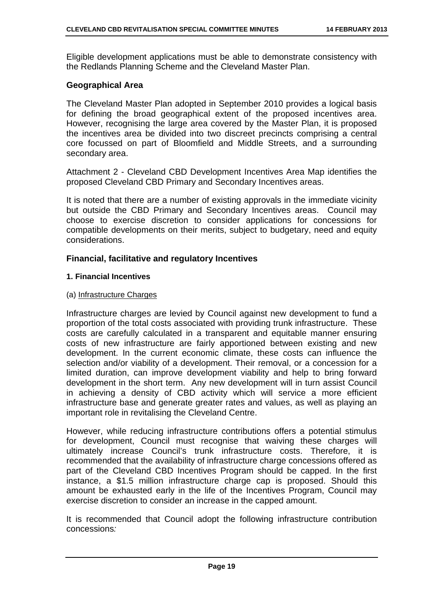Eligible development applications must be able to demonstrate consistency with the Redlands Planning Scheme and the Cleveland Master Plan.

#### **Geographical Area**

The Cleveland Master Plan adopted in September 2010 provides a logical basis for defining the broad geographical extent of the proposed incentives area. However, recognising the large area covered by the Master Plan, it is proposed the incentives area be divided into two discreet precincts comprising a central core focussed on part of Bloomfield and Middle Streets, and a surrounding secondary area.

Attachment 2 - Cleveland CBD Development Incentives Area Map identifies the proposed Cleveland CBD Primary and Secondary Incentives areas.

It is noted that there are a number of existing approvals in the immediate vicinity but outside the CBD Primary and Secondary Incentives areas. Council may choose to exercise discretion to consider applications for concessions for compatible developments on their merits, subject to budgetary, need and equity considerations.

#### **Financial, facilitative and regulatory Incentives**

#### **1. Financial Incentives**

#### (a) Infrastructure Charges

Infrastructure charges are levied by Council against new development to fund a proportion of the total costs associated with providing trunk infrastructure. These costs are carefully calculated in a transparent and equitable manner ensuring costs of new infrastructure are fairly apportioned between existing and new development. In the current economic climate, these costs can influence the selection and/or viability of a development. Their removal, or a concession for a limited duration, can improve development viability and help to bring forward development in the short term. Any new development will in turn assist Council in achieving a density of CBD activity which will service a more efficient infrastructure base and generate greater rates and values, as well as playing an important role in revitalising the Cleveland Centre.

However, while reducing infrastructure contributions offers a potential stimulus for development, Council must recognise that waiving these charges will ultimately increase Council's trunk infrastructure costs. Therefore, it is recommended that the availability of infrastructure charge concessions offered as part of the Cleveland CBD Incentives Program should be capped. In the first instance, a \$1.5 million infrastructure charge cap is proposed. Should this amount be exhausted early in the life of the Incentives Program, Council may exercise discretion to consider an increase in the capped amount.

It is recommended that Council adopt the following infrastructure contribution concessions*:*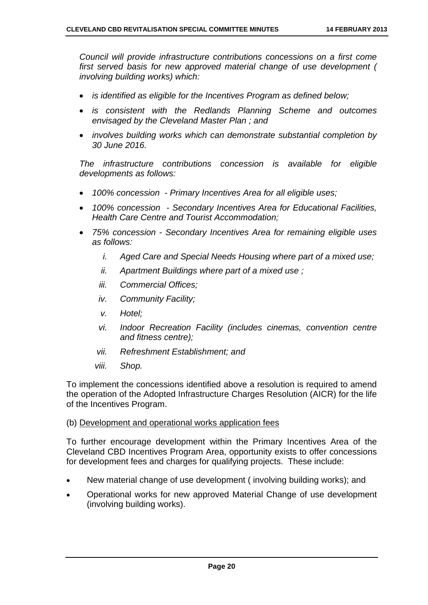*Council will provide infrastructure contributions concessions on a first come first served basis for new approved material change of use development ( involving building works) which:* 

- *is identified as eligible for the Incentives Program as defined below;*
- *is consistent with the Redlands Planning Scheme and outcomes envisaged by the Cleveland Master Plan ; and*
- *involves building works which can demonstrate substantial completion by 30 June 2016.*

*The infrastructure contributions concession is available for eligible developments as follows:* 

- *100% concession Primary Incentives Area for all eligible uses;*
- *100% concession Secondary Incentives Area for Educational Facilities, Health Care Centre and Tourist Accommodation;*
- *75% concession Secondary Incentives Area for remaining eligible uses as follows:* 
	- *i. Aged Care and Special Needs Housing where part of a mixed use;*
	- *ii. Apartment Buildings where part of a mixed use ;*
	- *iii. Commercial Offices;*
	- *iv. Community Facility;*
	- *v. Hotel;*
	- *vi. Indoor Recreation Facility (includes cinemas, convention centre and fitness centre);*
	- *vii. Refreshment Establishment; and*
	- *viii. Shop.*

To implement the concessions identified above a resolution is required to amend the operation of the Adopted Infrastructure Charges Resolution (AICR) for the life of the Incentives Program.

#### (b) Development and operational works application fees

To further encourage development within the Primary Incentives Area of the Cleveland CBD Incentives Program Area, opportunity exists to offer concessions for development fees and charges for qualifying projects. These include:

- New material change of use development ( involving building works); and
- Operational works for new approved Material Change of use development (involving building works).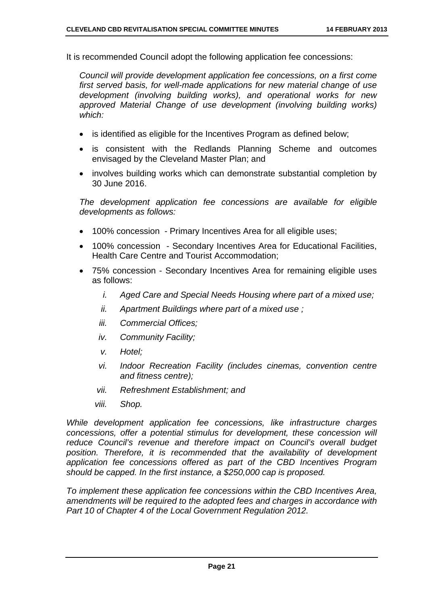It is recommended Council adopt the following application fee concessions:

*Council will provide development application fee concessions, on a first come first served basis, for well-made applications for new material change of use development (involving building works), and operational works for new approved Material Change of use development (involving building works) which:* 

- is identified as eligible for the Incentives Program as defined below;
- is consistent with the Redlands Planning Scheme and outcomes envisaged by the Cleveland Master Plan; and
- involves building works which can demonstrate substantial completion by 30 June 2016.

*The development application fee concessions are available for eligible developments as follows:* 

- 100% concession Primary Incentives Area for all eligible uses;
- 100% concession Secondary Incentives Area for Educational Facilities, Health Care Centre and Tourist Accommodation;
- 75% concession Secondary Incentives Area for remaining eligible uses as follows:
	- *i. Aged Care and Special Needs Housing where part of a mixed use;*
	- *ii. Apartment Buildings where part of a mixed use ;*
	- *iii. Commercial Offices;*
	- *iv. Community Facility;*
	- *v. Hotel;*
	- *vi. Indoor Recreation Facility (includes cinemas, convention centre and fitness centre);*
	- *vii. Refreshment Establishment; and*
	- *viii. Shop.*

*While development application fee concessions, like infrastructure charges concessions, offer a potential stimulus for development, these concession will reduce Council's revenue and therefore impact on Council's overall budget position. Therefore, it is recommended that the availability of development application fee concessions offered as part of the CBD Incentives Program should be capped. In the first instance, a \$250,000 cap is proposed.* 

*To implement these application fee concessions within the CBD Incentives Area, amendments will be required to the adopted fees and charges in accordance with Part 10 of Chapter 4 of the Local Government Regulation 2012.*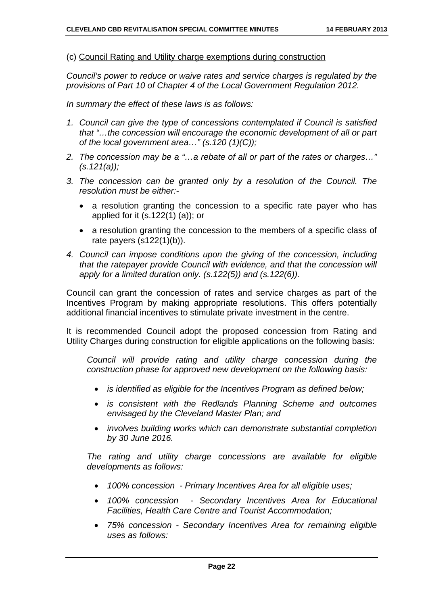#### (c) Council Rating and Utility charge exemptions during construction

*Council's power to reduce or waive rates and service charges is regulated by the provisions of Part 10 of Chapter 4 of the Local Government Regulation 2012.* 

*In summary the effect of these laws is as follows:* 

- *1. Council can give the type of concessions contemplated if Council is satisfied that "…the concession will encourage the economic development of all or part of the local government area…" (s.120 (1)(C));*
- *2. The concession may be a "…a rebate of all or part of the rates or charges…" (s.121(a));*
- *3. The concession can be granted only by a resolution of the Council. The resolution must be either:-* 
	- a resolution granting the concession to a specific rate payer who has applied for it (s.122(1) (a)); or
	- a resolution granting the concession to the members of a specific class of rate payers (s122(1)(b)).
- *4. Council can impose conditions upon the giving of the concession, including that the ratepayer provide Council with evidence, and that the concession will apply for a limited duration only. (s.122(5)) and (s.122(6)).*

Council can grant the concession of rates and service charges as part of the Incentives Program by making appropriate resolutions. This offers potentially additional financial incentives to stimulate private investment in the centre.

It is recommended Council adopt the proposed concession from Rating and Utility Charges during construction for eligible applications on the following basis:

*Council will provide rating and utility charge concession during the construction phase for approved new development on the following basis:* 

- *is identified as eligible for the Incentives Program as defined below;*
- *is consistent with the Redlands Planning Scheme and outcomes envisaged by the Cleveland Master Plan; and*
- *involves building works which can demonstrate substantial completion by 30 June 2016.*

*The rating and utility charge concessions are available for eligible developments as follows:* 

- *100% concession Primary Incentives Area for all eligible uses;*
- *100% concession Secondary Incentives Area for Educational Facilities, Health Care Centre and Tourist Accommodation;*
- *75% concession Secondary Incentives Area for remaining eligible uses as follows:*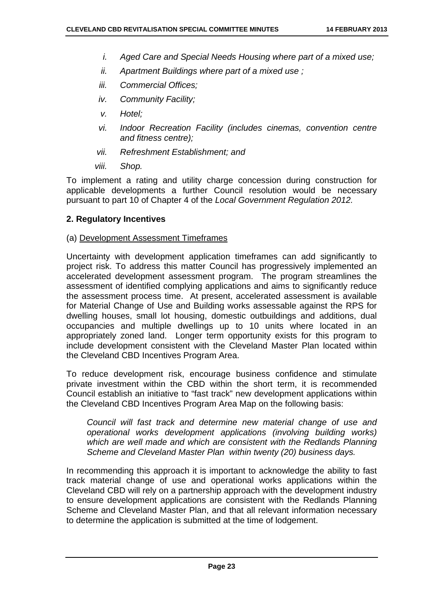- *i. Aged Care and Special Needs Housing where part of a mixed use;*
- *ii. Apartment Buildings where part of a mixed use ;*
- *iii. Commercial Offices;*
- *iv. Community Facility;*
- *v. Hotel;*
- *vi. Indoor Recreation Facility (includes cinemas, convention centre and fitness centre);*
- *vii. Refreshment Establishment; and*
- *viii. Shop.*

To implement a rating and utility charge concession during construction for applicable developments a further Council resolution would be necessary pursuant to part 10 of Chapter 4 of the *Local Government Regulation 2012.*

#### **2. Regulatory Incentives**

#### (a) Development Assessment Timeframes

Uncertainty with development application timeframes can add significantly to project risk. To address this matter Council has progressively implemented an accelerated development assessment program. The program streamlines the assessment of identified complying applications and aims to significantly reduce the assessment process time. At present, accelerated assessment is available for Material Change of Use and Building works assessable against the RPS for dwelling houses, small lot housing, domestic outbuildings and additions, dual occupancies and multiple dwellings up to 10 units where located in an appropriately zoned land. Longer term opportunity exists for this program to include development consistent with the Cleveland Master Plan located within the Cleveland CBD Incentives Program Area.

To reduce development risk, encourage business confidence and stimulate private investment within the CBD within the short term, it is recommended Council establish an initiative to "fast track" new development applications within the Cleveland CBD Incentives Program Area Map on the following basis:

*Council will fast track and determine new material change of use and operational works development applications (involving building works) which are well made and which are consistent with the Redlands Planning Scheme and Cleveland Master Plan within twenty (20) business days.* 

In recommending this approach it is important to acknowledge the ability to fast track material change of use and operational works applications within the Cleveland CBD will rely on a partnership approach with the development industry to ensure development applications are consistent with the Redlands Planning Scheme and Cleveland Master Plan, and that all relevant information necessary to determine the application is submitted at the time of lodgement.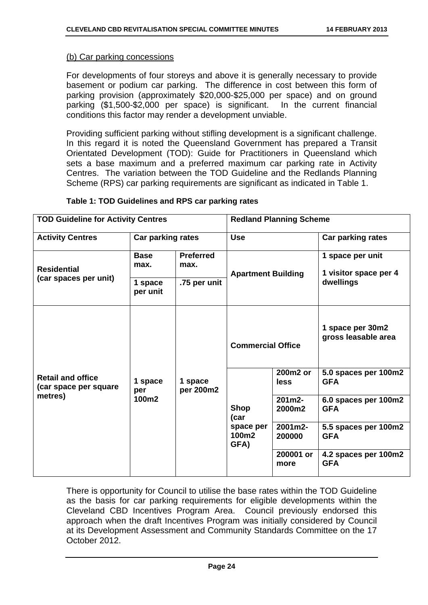#### (b) Car parking concessions

For developments of four storeys and above it is generally necessary to provide basement or podium car parking. The difference in cost between this form of parking provision (approximately \$20,000-\$25,000 per space) and on ground parking (\$1,500-\$2,000 per space) is significant. In the current financial conditions this factor may render a development unviable.

Providing sufficient parking without stifling development is a significant challenge. In this regard it is noted the Queensland Government has prepared a Transit Orientated Development (TOD): Guide for Practitioners in Queensland which sets a base maximum and a preferred maximum car parking rate in Activity Centres. The variation between the TOD Guideline and the Redlands Planning Scheme (RPS) car parking requirements are significant as indicated in Table 1.

| <b>TOD Guideline for Activity Centres</b>         |                         |                          | <b>Redland Planning Scheme</b>         |                   |                                           |
|---------------------------------------------------|-------------------------|--------------------------|----------------------------------------|-------------------|-------------------------------------------|
| <b>Activity Centres</b>                           | Car parking rates       |                          | <b>Use</b>                             |                   | Car parking rates                         |
| <b>Residential</b>                                | <b>Base</b><br>max.     | <b>Preferred</b><br>max. | <b>Apartment Building</b>              |                   | 1 space per unit<br>1 visitor space per 4 |
| (car spaces per unit)                             | 1 space<br>per unit     | .75 per unit             |                                        |                   | dwellings                                 |
|                                                   | 1 space<br>per<br>100m2 | 1 space<br>per 200m2     | <b>Commercial Office</b>               |                   | 1 space per 30m2<br>gross leasable area   |
| <b>Retail and office</b><br>(car space per square |                         |                          |                                        | 200m2 or<br>less  | 5.0 spaces per 100m2<br><b>GFA</b>        |
| metres)                                           |                         |                          | <b>Shop</b><br>(car                    | 201m2-<br>2000m2  | 6.0 spaces per 100m2<br><b>GFA</b>        |
|                                                   |                         |                          | space per<br>100m <sub>2</sub><br>GFA) | 2001m2-<br>200000 | 5.5 spaces per 100m2<br><b>GFA</b>        |
|                                                   |                         |                          |                                        | 200001 or<br>more | 4.2 spaces per 100m2<br><b>GFA</b>        |

#### **Table 1: TOD Guidelines and RPS car parking rates**

There is opportunity for Council to utilise the base rates within the TOD Guideline as the basis for car parking requirements for eligible developments within the Cleveland CBD Incentives Program Area. Council previously endorsed this approach when the draft Incentives Program was initially considered by Council at its Development Assessment and Community Standards Committee on the 17 October 2012.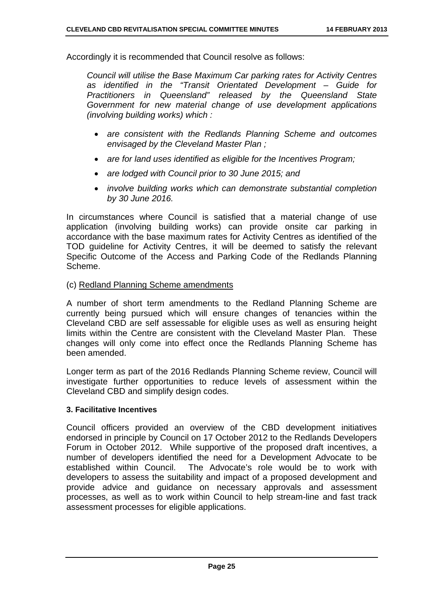Accordingly it is recommended that Council resolve as follows:

*Council will utilise the Base Maximum Car parking rates for Activity Centres as identified in the "Transit Orientated Development – Guide for Practitioners in Queensland" released by the Queensland State Government for new material change of use development applications (involving building works) which :* 

- *are consistent with the Redlands Planning Scheme and outcomes envisaged by the Cleveland Master Plan ;*
- *are for land uses identified as eligible for the Incentives Program;*
- *are lodged with Council prior to 30 June 2015; and*
- *involve building works which can demonstrate substantial completion by 30 June 2016.*

In circumstances where Council is satisfied that a material change of use application (involving building works) can provide onsite car parking in accordance with the base maximum rates for Activity Centres as identified of the TOD guideline for Activity Centres, it will be deemed to satisfy the relevant Specific Outcome of the Access and Parking Code of the Redlands Planning Scheme.

#### (c) Redland Planning Scheme amendments

A number of short term amendments to the Redland Planning Scheme are currently being pursued which will ensure changes of tenancies within the Cleveland CBD are self assessable for eligible uses as well as ensuring height limits within the Centre are consistent with the Cleveland Master Plan. These changes will only come into effect once the Redlands Planning Scheme has been amended.

Longer term as part of the 2016 Redlands Planning Scheme review, Council will investigate further opportunities to reduce levels of assessment within the Cleveland CBD and simplify design codes.

#### **3. Facilitative Incentives**

Council officers provided an overview of the CBD development initiatives endorsed in principle by Council on 17 October 2012 to the Redlands Developers Forum in October 2012. While supportive of the proposed draft incentives, a number of developers identified the need for a Development Advocate to be established within Council. The Advocate's role would be to work with developers to assess the suitability and impact of a proposed development and provide advice and guidance on necessary approvals and assessment processes, as well as to work within Council to help stream-line and fast track assessment processes for eligible applications.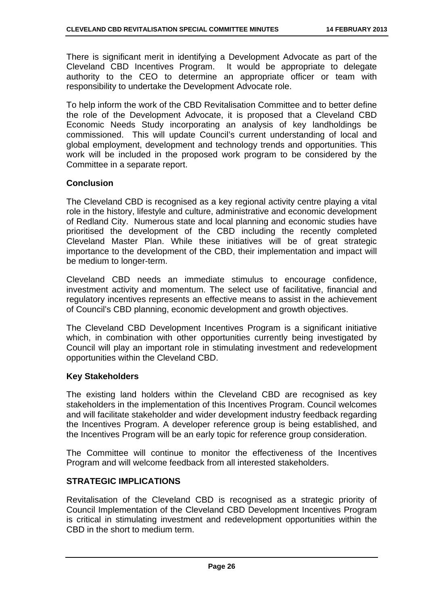There is significant merit in identifying a Development Advocate as part of the Cleveland CBD Incentives Program. It would be appropriate to delegate authority to the CEO to determine an appropriate officer or team with responsibility to undertake the Development Advocate role.

To help inform the work of the CBD Revitalisation Committee and to better define the role of the Development Advocate, it is proposed that a Cleveland CBD Economic Needs Study incorporating an analysis of key landholdings be commissioned. This will update Council's current understanding of local and global employment, development and technology trends and opportunities. This work will be included in the proposed work program to be considered by the Committee in a separate report.

#### **Conclusion**

The Cleveland CBD is recognised as a key regional activity centre playing a vital role in the history, lifestyle and culture, administrative and economic development of Redland City. Numerous state and local planning and economic studies have prioritised the development of the CBD including the recently completed Cleveland Master Plan. While these initiatives will be of great strategic importance to the development of the CBD, their implementation and impact will be medium to longer-term.

Cleveland CBD needs an immediate stimulus to encourage confidence, investment activity and momentum. The select use of facilitative, financial and regulatory incentives represents an effective means to assist in the achievement of Council's CBD planning, economic development and growth objectives.

The Cleveland CBD Development Incentives Program is a significant initiative which, in combination with other opportunities currently being investigated by Council will play an important role in stimulating investment and redevelopment opportunities within the Cleveland CBD.

#### **Key Stakeholders**

The existing land holders within the Cleveland CBD are recognised as key stakeholders in the implementation of this Incentives Program. Council welcomes and will facilitate stakeholder and wider development industry feedback regarding the Incentives Program. A developer reference group is being established, and the Incentives Program will be an early topic for reference group consideration.

The Committee will continue to monitor the effectiveness of the Incentives Program and will welcome feedback from all interested stakeholders.

#### **STRATEGIC IMPLICATIONS**

Revitalisation of the Cleveland CBD is recognised as a strategic priority of Council Implementation of the Cleveland CBD Development Incentives Program is critical in stimulating investment and redevelopment opportunities within the CBD in the short to medium term.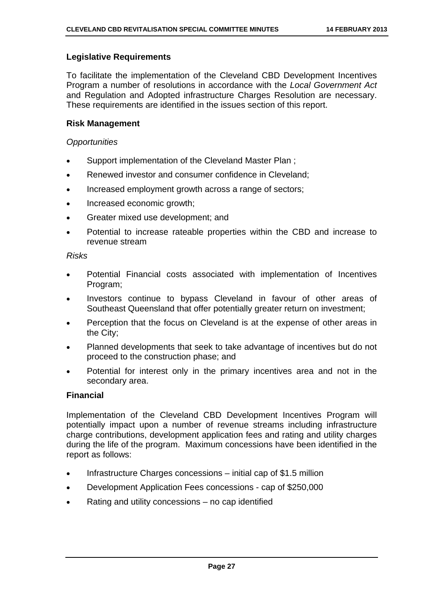#### **Legislative Requirements**

To facilitate the implementation of the Cleveland CBD Development Incentives Program a number of resolutions in accordance with the *Local Government Act* and Regulation and Adopted infrastructure Charges Resolution are necessary. These requirements are identified in the issues section of this report.

#### **Risk Management**

#### *Opportunities*

- Support implementation of the Cleveland Master Plan ;
- Renewed investor and consumer confidence in Cleveland;
- Increased employment growth across a range of sectors;
- Increased economic growth;
- Greater mixed use development; and
- Potential to increase rateable properties within the CBD and increase to revenue stream

#### *Risks*

- Potential Financial costs associated with implementation of Incentives Program;
- Investors continue to bypass Cleveland in favour of other areas of Southeast Queensland that offer potentially greater return on investment;
- Perception that the focus on Cleveland is at the expense of other areas in the City;
- Planned developments that seek to take advantage of incentives but do not proceed to the construction phase; and
- Potential for interest only in the primary incentives area and not in the secondary area.

#### **Financial**

Implementation of the Cleveland CBD Development Incentives Program will potentially impact upon a number of revenue streams including infrastructure charge contributions, development application fees and rating and utility charges during the life of the program. Maximum concessions have been identified in the report as follows:

- Infrastructure Charges concessions initial cap of \$1.5 million
- Development Application Fees concessions cap of \$250,000
- Rating and utility concessions no cap identified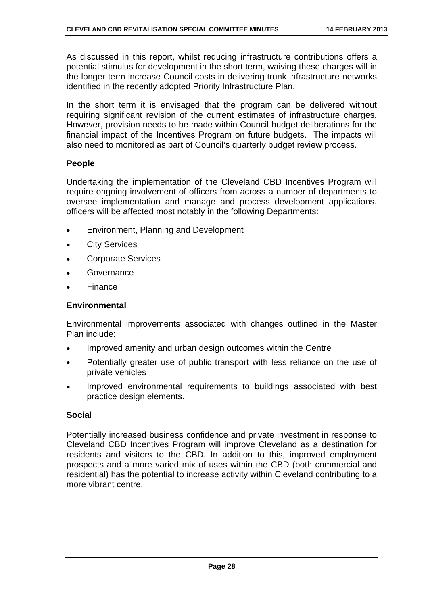As discussed in this report, whilst reducing infrastructure contributions offers a potential stimulus for development in the short term, waiving these charges will in the longer term increase Council costs in delivering trunk infrastructure networks identified in the recently adopted Priority Infrastructure Plan.

In the short term it is envisaged that the program can be delivered without requiring significant revision of the current estimates of infrastructure charges. However, provision needs to be made within Council budget deliberations for the financial impact of the Incentives Program on future budgets. The impacts will also need to monitored as part of Council's quarterly budget review process.

#### **People**

Undertaking the implementation of the Cleveland CBD Incentives Program will require ongoing involvement of officers from across a number of departments to oversee implementation and manage and process development applications. officers will be affected most notably in the following Departments:

- Environment, Planning and Development
- City Services
- Corporate Services
- Governance
- **Finance**

#### **Environmental**

Environmental improvements associated with changes outlined in the Master Plan include:

- Improved amenity and urban design outcomes within the Centre
- Potentially greater use of public transport with less reliance on the use of private vehicles
- Improved environmental requirements to buildings associated with best practice design elements.

#### **Social**

Potentially increased business confidence and private investment in response to Cleveland CBD Incentives Program will improve Cleveland as a destination for residents and visitors to the CBD. In addition to this, improved employment prospects and a more varied mix of uses within the CBD (both commercial and residential) has the potential to increase activity within Cleveland contributing to a more vibrant centre.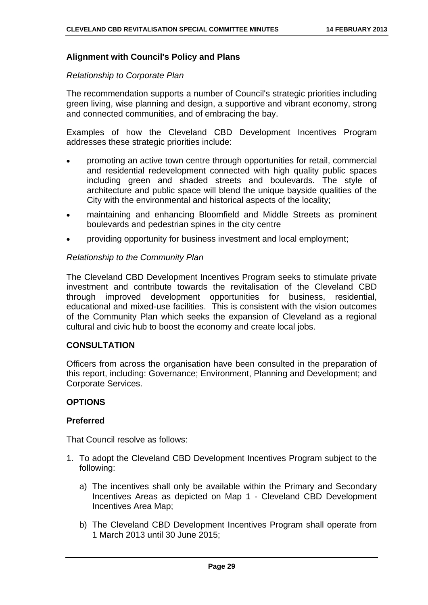#### **Alignment with Council's Policy and Plans**

#### *Relationship to Corporate Plan*

The recommendation supports a number of Council's strategic priorities including green living, wise planning and design, a supportive and vibrant economy, strong and connected communities, and of embracing the bay.

Examples of how the Cleveland CBD Development Incentives Program addresses these strategic priorities include:

- promoting an active town centre through opportunities for retail, commercial and residential redevelopment connected with high quality public spaces including green and shaded streets and boulevards. The style of architecture and public space will blend the unique bayside qualities of the City with the environmental and historical aspects of the locality;
- maintaining and enhancing Bloomfield and Middle Streets as prominent boulevards and pedestrian spines in the city centre
- providing opportunity for business investment and local employment;

#### *Relationship to the Community Plan*

The Cleveland CBD Development Incentives Program seeks to stimulate private investment and contribute towards the revitalisation of the Cleveland CBD through improved development opportunities for business, residential, educational and mixed-use facilities. This is consistent with the vision outcomes of the Community Plan which seeks the expansion of Cleveland as a regional cultural and civic hub to boost the economy and create local jobs.

#### **CONSULTATION**

Officers from across the organisation have been consulted in the preparation of this report, including: Governance; Environment, Planning and Development; and Corporate Services.

#### **OPTIONS**

#### **Preferred**

That Council resolve as follows:

- 1. To adopt the Cleveland CBD Development Incentives Program subject to the following:
	- a) The incentives shall only be available within the Primary and Secondary Incentives Areas as depicted on Map 1 - Cleveland CBD Development Incentives Area Map;
	- b) The Cleveland CBD Development Incentives Program shall operate from 1 March 2013 until 30 June 2015;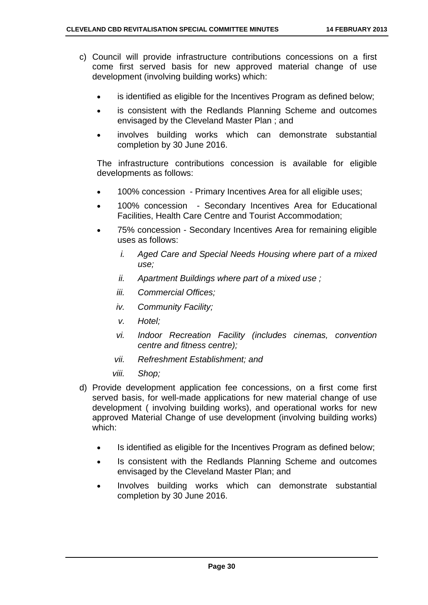- c) Council will provide infrastructure contributions concessions on a first come first served basis for new approved material change of use development (involving building works) which:
	- is identified as eligible for the Incentives Program as defined below;
	- is consistent with the Redlands Planning Scheme and outcomes envisaged by the Cleveland Master Plan ; and
	- involves building works which can demonstrate substantial completion by 30 June 2016.

The infrastructure contributions concession is available for eligible developments as follows:

- 100% concession Primary Incentives Area for all eligible uses;
- 100% concession Secondary Incentives Area for Educational Facilities, Health Care Centre and Tourist Accommodation;
- 75% concession Secondary Incentives Area for remaining eligible uses as follows:
	- *i. Aged Care and Special Needs Housing where part of a mixed use;*
	- *ii. Apartment Buildings where part of a mixed use ;*
	- *iii. Commercial Offices;*
	- *iv. Community Facility;*
	- *v. Hotel;*
	- *vi. Indoor Recreation Facility (includes cinemas, convention centre and fitness centre);*
	- *vii. Refreshment Establishment; and*
	- *viii. Shop;*
- d) Provide development application fee concessions, on a first come first served basis, for well-made applications for new material change of use development ( involving building works), and operational works for new approved Material Change of use development (involving building works) which:
	- Is identified as eligible for the Incentives Program as defined below;
	- Is consistent with the Redlands Planning Scheme and outcomes envisaged by the Cleveland Master Plan; and
	- Involves building works which can demonstrate substantial completion by 30 June 2016.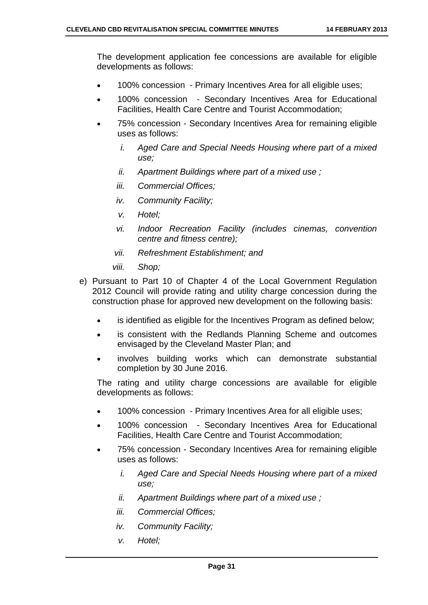The development application fee concessions are available for eligible developments as follows:

- 100% concession Primary Incentives Area for all eligible uses;
- 100% concession Secondary Incentives Area for Educational Facilities, Health Care Centre and Tourist Accommodation;
- 75% concession Secondary Incentives Area for remaining eligible uses as follows:
	- *i. Aged Care and Special Needs Housing where part of a mixed use;*
	- *ii. Apartment Buildings where part of a mixed use ;*
	- *iii. Commercial Offices;*
	- *iv. Community Facility;*
	- *v. Hotel;*
	- *vi. Indoor Recreation Facility (includes cinemas, convention centre and fitness centre);*
	- *vii. Refreshment Establishment; and*
	- *viii. Shop;*
- e) Pursuant to Part 10 of Chapter 4 of the Local Government Regulation 2012 Council will provide rating and utility charge concession during the construction phase for approved new development on the following basis:
	- is identified as eligible for the Incentives Program as defined below;
	- is consistent with the Redlands Planning Scheme and outcomes envisaged by the Cleveland Master Plan; and
	- involves building works which can demonstrate substantial completion by 30 June 2016.

The rating and utility charge concessions are available for eligible developments as follows:

- 100% concession Primary Incentives Area for all eligible uses;
- 100% concession Secondary Incentives Area for Educational Facilities, Health Care Centre and Tourist Accommodation;
- 75% concession Secondary Incentives Area for remaining eligible uses as follows:
	- *i. Aged Care and Special Needs Housing where part of a mixed use;*
	- *ii. Apartment Buildings where part of a mixed use ;*
	- *iii. Commercial Offices;*
	- *iv. Community Facility;*
	- *v. Hotel;*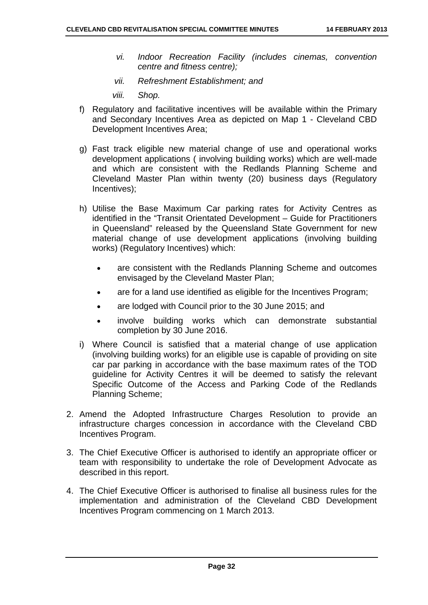- *vi. Indoor Recreation Facility (includes cinemas, convention centre and fitness centre);*
- *vii. Refreshment Establishment; and*
- *viii. Shop.*
- f) Regulatory and facilitative incentives will be available within the Primary and Secondary Incentives Area as depicted on Map 1 - Cleveland CBD Development Incentives Area;
- g) Fast track eligible new material change of use and operational works development applications ( involving building works) which are well-made and which are consistent with the Redlands Planning Scheme and Cleveland Master Plan within twenty (20) business days (Regulatory Incentives);
- h) Utilise the Base Maximum Car parking rates for Activity Centres as identified in the "Transit Orientated Development – Guide for Practitioners in Queensland" released by the Queensland State Government for new material change of use development applications (involving building works) (Regulatory Incentives) which:
	- are consistent with the Redlands Planning Scheme and outcomes envisaged by the Cleveland Master Plan;
	- are for a land use identified as eligible for the Incentives Program;
	- are lodged with Council prior to the 30 June 2015; and
	- involve building works which can demonstrate substantial completion by 30 June 2016.
- i) Where Council is satisfied that a material change of use application (involving building works) for an eligible use is capable of providing on site car par parking in accordance with the base maximum rates of the TOD guideline for Activity Centres it will be deemed to satisfy the relevant Specific Outcome of the Access and Parking Code of the Redlands Planning Scheme;
- 2. Amend the Adopted Infrastructure Charges Resolution to provide an infrastructure charges concession in accordance with the Cleveland CBD Incentives Program.
- 3. The Chief Executive Officer is authorised to identify an appropriate officer or team with responsibility to undertake the role of Development Advocate as described in this report.
- 4. The Chief Executive Officer is authorised to finalise all business rules for the implementation and administration of the Cleveland CBD Development Incentives Program commencing on 1 March 2013.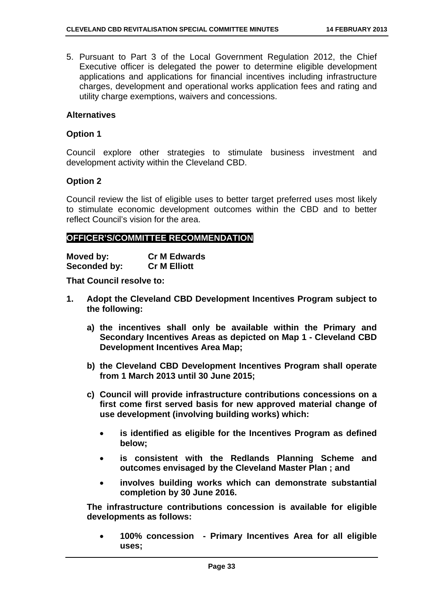5. Pursuant to Part 3 of the Local Government Regulation 2012, the Chief Executive officer is delegated the power to determine eligible development applications and applications for financial incentives including infrastructure charges, development and operational works application fees and rating and utility charge exemptions, waivers and concessions.

#### **Alternatives**

#### **Option 1**

Council explore other strategies to stimulate business investment and development activity within the Cleveland CBD.

#### **Option 2**

Council review the list of eligible uses to better target preferred uses most likely to stimulate economic development outcomes within the CBD and to better reflect Council's vision for the area.

#### **OFFICER'S/COMMITTEE RECOMMENDATION**

| Moved by:    | <b>Cr M Edwards</b> |
|--------------|---------------------|
| Seconded by: | <b>Cr M Elliott</b> |

**That Council resolve to:** 

- **1. Adopt the Cleveland CBD Development Incentives Program subject to the following:** 
	- **a) the incentives shall only be available within the Primary and Secondary Incentives Areas as depicted on Map 1 - Cleveland CBD Development Incentives Area Map;**
	- **b) the Cleveland CBD Development Incentives Program shall operate from 1 March 2013 until 30 June 2015;**
	- **c) Council will provide infrastructure contributions concessions on a first come first served basis for new approved material change of use development (involving building works) which:** 
		- **is identified as eligible for the Incentives Program as defined below;**
		- **is consistent with the Redlands Planning Scheme and outcomes envisaged by the Cleveland Master Plan ; and**
		- **involves building works which can demonstrate substantial completion by 30 June 2016.**

**The infrastructure contributions concession is available for eligible developments as follows:** 

 **100% concession - Primary Incentives Area for all eligible uses;**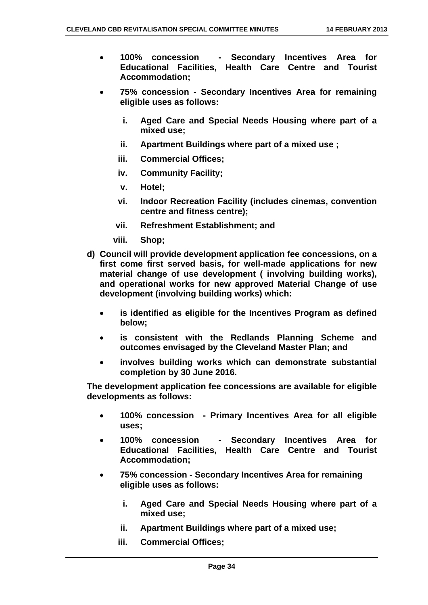- **100% concession Secondary Incentives Area for Educational Facilities, Health Care Centre and Tourist Accommodation;**
- **75% concession Secondary Incentives Area for remaining eligible uses as follows:** 
	- **i. Aged Care and Special Needs Housing where part of a mixed use;**
	- **ii. Apartment Buildings where part of a mixed use ;**
	- **iii. Commercial Offices;**
	- **iv. Community Facility;**
	- **v. Hotel;**
	- **vi. Indoor Recreation Facility (includes cinemas, convention centre and fitness centre);**
	- **vii. Refreshment Establishment; and**
	- **viii. Shop;**
- **d) Council will provide development application fee concessions, on a first come first served basis, for well-made applications for new material change of use development ( involving building works), and operational works for new approved Material Change of use development (involving building works) which:** 
	- **is identified as eligible for the Incentives Program as defined below;**
	- **is consistent with the Redlands Planning Scheme and outcomes envisaged by the Cleveland Master Plan; and**
	- **involves building works which can demonstrate substantial completion by 30 June 2016.**

**The development application fee concessions are available for eligible developments as follows:** 

- **100% concession Primary Incentives Area for all eligible uses;**
- **100% concession Secondary Incentives Area for Educational Facilities, Health Care Centre and Tourist Accommodation;**
- **75% concession Secondary Incentives Area for remaining eligible uses as follows:**
	- **i. Aged Care and Special Needs Housing where part of a mixed use;**
	- **ii. Apartment Buildings where part of a mixed use;**
	- **iii. Commercial Offices;**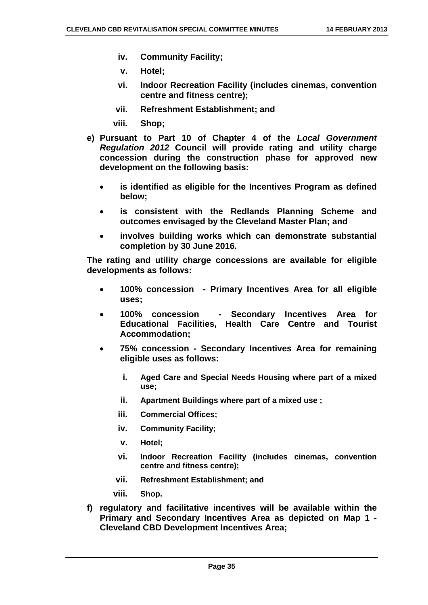- **iv. Community Facility;**
- **v. Hotel;**
- **vi. Indoor Recreation Facility (includes cinemas, convention centre and fitness centre);**
- **vii. Refreshment Establishment; and**
- **viii. Shop;**
- **e) Pursuant to Part 10 of Chapter 4 of the** *Local Government Regulation 2012* **Council will provide rating and utility charge concession during the construction phase for approved new development on the following basis:** 
	- **is identified as eligible for the Incentives Program as defined below;**
	- **is consistent with the Redlands Planning Scheme and outcomes envisaged by the Cleveland Master Plan; and**
	- **involves building works which can demonstrate substantial completion by 30 June 2016.**

**The rating and utility charge concessions are available for eligible developments as follows:** 

- **100% concession Primary Incentives Area for all eligible uses;**
- **100% concession Secondary Incentives Area for Educational Facilities, Health Care Centre and Tourist Accommodation;**
- **75% concession Secondary Incentives Area for remaining eligible uses as follows:** 
	- **i. Aged Care and Special Needs Housing where part of a mixed use;**
	- **ii. Apartment Buildings where part of a mixed use ;**
	- **iii. Commercial Offices;**
	- **iv. Community Facility;**
	- **v. Hotel;**
	- **vi. Indoor Recreation Facility (includes cinemas, convention centre and fitness centre);**
	- **vii. Refreshment Establishment; and**
	- **viii. Shop.**
- **f) regulatory and facilitative incentives will be available within the Primary and Secondary Incentives Area as depicted on Map 1 - Cleveland CBD Development Incentives Area;**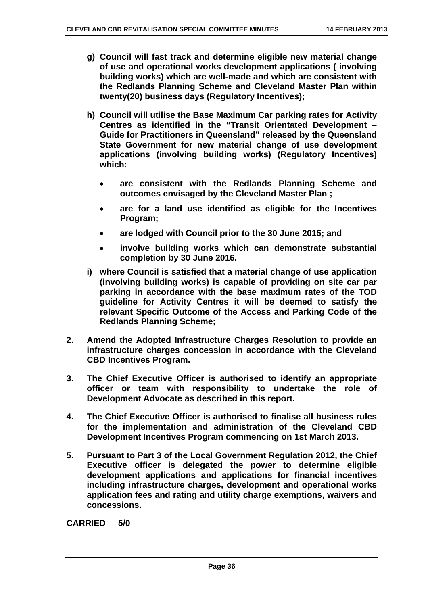- **g) Council will fast track and determine eligible new material change of use and operational works development applications ( involving building works) which are well-made and which are consistent with the Redlands Planning Scheme and Cleveland Master Plan within twenty(20) business days (Regulatory Incentives);**
- **h) Council will utilise the Base Maximum Car parking rates for Activity Centres as identified in the "Transit Orientated Development – Guide for Practitioners in Queensland" released by the Queensland State Government for new material change of use development applications (involving building works) (Regulatory Incentives) which:** 
	- **are consistent with the Redlands Planning Scheme and outcomes envisaged by the Cleveland Master Plan ;**
	- **are for a land use identified as eligible for the Incentives Program;**
	- **are lodged with Council prior to the 30 June 2015; and**
	- **involve building works which can demonstrate substantial completion by 30 June 2016.**
- **i) where Council is satisfied that a material change of use application (involving building works) is capable of providing on site car par parking in accordance with the base maximum rates of the TOD guideline for Activity Centres it will be deemed to satisfy the relevant Specific Outcome of the Access and Parking Code of the Redlands Planning Scheme;**
- **2. Amend the Adopted Infrastructure Charges Resolution to provide an infrastructure charges concession in accordance with the Cleveland CBD Incentives Program.**
- **3. The Chief Executive Officer is authorised to identify an appropriate officer or team with responsibility to undertake the role of Development Advocate as described in this report.**
- **4. The Chief Executive Officer is authorised to finalise all business rules for the implementation and administration of the Cleveland CBD Development Incentives Program commencing on 1st March 2013.**
- **5. Pursuant to Part 3 of the Local Government Regulation 2012, the Chief Executive officer is delegated the power to determine eligible development applications and applications for financial incentives including infrastructure charges, development and operational works application fees and rating and utility charge exemptions, waivers and concessions.**

**CARRIED 5/0**